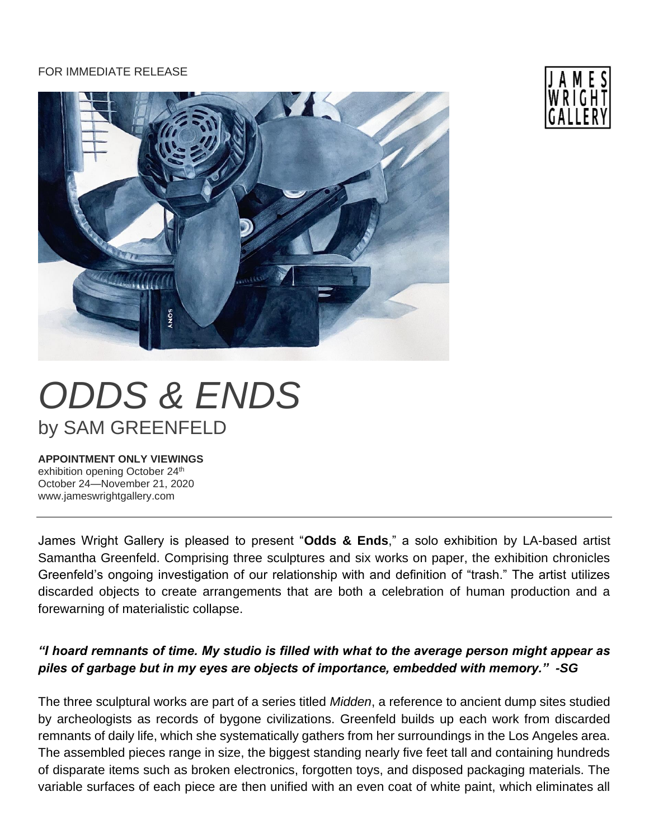## FOR IMMEDIATE RELEASE





## **APPOINTMENT ONLY VIEWINGS**

exhibition opening October 24th October 24—November 21, 2020 www.jameswrightgallery.com

James Wright Gallery is pleased to present "**Odds & Ends**," a solo exhibition by LA-based artist Samantha Greenfeld. Comprising three sculptures and six works on paper, the exhibition chronicles Greenfeld's ongoing investigation of our relationship with and definition of "trash." The artist utilizes discarded objects to create arrangements that are both a celebration of human production and a forewarning of materialistic collapse.

## *"I hoard remnants of time. My studio is filled with what to the average person might appear as piles of garbage but in my eyes are objects of importance, embedded with memory." -SG*

The three sculptural works are part of a series titled *Midden*, a reference to ancient dump sites studied by archeologists as records of bygone civilizations. Greenfeld builds up each work from discarded remnants of daily life, which she systematically gathers from her surroundings in the Los Angeles area. The assembled pieces range in size, the biggest standing nearly five feet tall and containing hundreds of disparate items such as broken electronics, forgotten toys, and disposed packaging materials. The variable surfaces of each piece are then unified with an even coat of white paint, which eliminates all